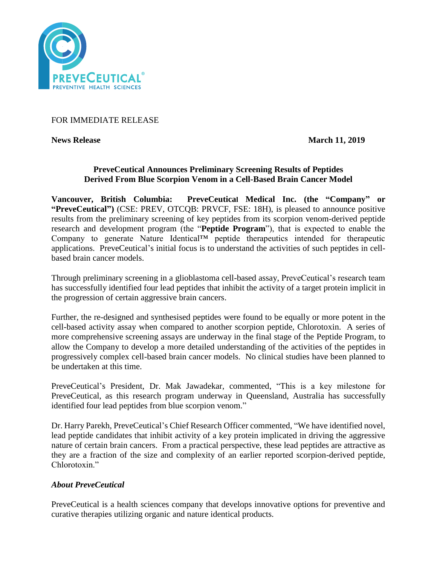

### FOR IMMEDIATE RELEASE

**News Release March 11, 2019** 

# **PreveCeutical Announces Preliminary Screening Results of Peptides Derived From Blue Scorpion Venom in a Cell-Based Brain Cancer Model**

**Vancouver, British Columbia: PreveCeutical Medical Inc. (the "Company" or "PreveCeutical")** (CSE: PREV, OTCQB: PRVCF, FSE: 18H), is pleased to announce positive results from the preliminary screening of key peptides from its scorpion venom-derived peptide research and development program (the "**Peptide Program**"), that is expected to enable the Company to generate Nature Identical™ peptide therapeutics intended for therapeutic applications. PreveCeutical's initial focus is to understand the activities of such peptides in cellbased brain cancer models.

Through preliminary screening in a glioblastoma cell-based assay, PreveCeutical's research team has successfully identified four lead peptides that inhibit the activity of a target protein implicit in the progression of certain aggressive brain cancers.

Further, the re-designed and synthesised peptides were found to be equally or more potent in the cell-based activity assay when compared to another scorpion peptide, Chlorotoxin. A series of more comprehensive screening assays are underway in the final stage of the Peptide Program, to allow the Company to develop a more detailed understanding of the activities of the peptides in progressively complex cell-based brain cancer models. No clinical studies have been planned to be undertaken at this time.

PreveCeutical's President, Dr. Mak Jawadekar, commented, "This is a key milestone for PreveCeutical, as this research program underway in Queensland, Australia has successfully identified four lead peptides from blue scorpion venom."

Dr. Harry Parekh, PreveCeutical's Chief Research Officer commented, "We have identified novel, lead peptide candidates that inhibit activity of a key protein implicated in driving the aggressive nature of certain brain cancers. From a practical perspective, these lead peptides are attractive as they are a fraction of the size and complexity of an earlier reported scorpion-derived peptide, Chlorotoxin."

# *About PreveCeutical*

PreveCeutical is a health sciences company that develops innovative options for preventive and curative therapies utilizing organic and nature identical products.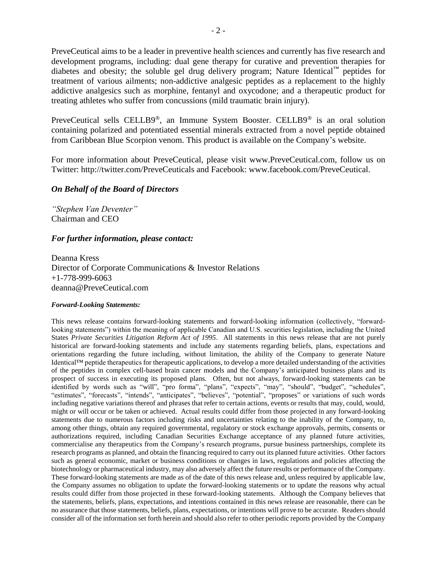PreveCeutical aims to be a leader in preventive health sciences and currently has five research and development programs, including: dual gene therapy for curative and prevention therapies for diabetes and obesity; the soluble gel drug delivery program; Nature Identical™ peptides for treatment of various ailments; non-addictive analgesic peptides as a replacement to the highly addictive analgesics such as morphine, fentanyl and oxycodone; and a therapeutic product for treating athletes who suffer from concussions (mild traumatic brain injury).

PreveCeutical sells CELLB9®, an Immune System Booster. CELLB9® is an oral solution containing polarized and potentiated essential minerals extracted from a novel peptide obtained from Caribbean Blue Scorpion venom. This product is available on the Company's website.

For more information about PreveCeutical, please visit www.PreveCeutical.com, follow us on Twitter: http://twitter.com/PreveCeuticals and Facebook: www.facebook.com/PreveCeutical.

### *On Behalf of the Board of Directors*

*"Stephen Van Deventer"* Chairman and CEO

### *For further information, please contact:*

Deanna Kress Director of Corporate Communications & Investor Relations +1-778-999-6063 deanna@PreveCeutical.com

#### *Forward-Looking Statements:*

This news release contains forward-looking statements and forward-looking information (collectively, "forwardlooking statements") within the meaning of applicable Canadian and U.S. securities legislation, including the United States *Private Securities Litigation Reform Act of 1995*. All statements in this news release that are not purely historical are forward-looking statements and include any statements regarding beliefs, plans, expectations and orientations regarding the future including, without limitation, the ability of the Company to generate Nature Identical™ peptide therapeutics for therapeutic applications, to develop a more detailed understanding of the activities of the peptides in complex cell-based brain cancer models and the Company's anticipated business plans and its prospect of success in executing its proposed plans. Often, but not always, forward-looking statements can be identified by words such as "will", "pro forma", "plans", "expects", "may", "should", "budget", "schedules", "estimates", "forecasts", "intends", "anticipates", "believes", "potential", "proposes" or variations of such words including negative variations thereof and phrases that refer to certain actions, events or results that may, could, would, might or will occur or be taken or achieved. Actual results could differ from those projected in any forward-looking statements due to numerous factors including risks and uncertainties relating to the inability of the Company, to, among other things, obtain any required governmental, regulatory or stock exchange approvals, permits, consents or authorizations required, including Canadian Securities Exchange acceptance of any planned future activities, commercialise any therapeutics from the Company's research programs, pursue business partnerships, complete its research programs as planned, and obtain the financing required to carry out its planned future activities. Other factors such as general economic, market or business conditions or changes in laws, regulations and policies affecting the biotechnology or pharmaceutical industry, may also adversely affect the future results or performance of the Company. These forward-looking statements are made as of the date of this news release and, unless required by applicable law, the Company assumes no obligation to update the forward-looking statements or to update the reasons why actual results could differ from those projected in these forward-looking statements. Although the Company believes that the statements, beliefs, plans, expectations, and intentions contained in this news release are reasonable, there can be no assurance that those statements, beliefs, plans, expectations, or intentions will prove to be accurate. Readers should consider all of the information set forth herein and should also refer to other periodic reports provided by the Company